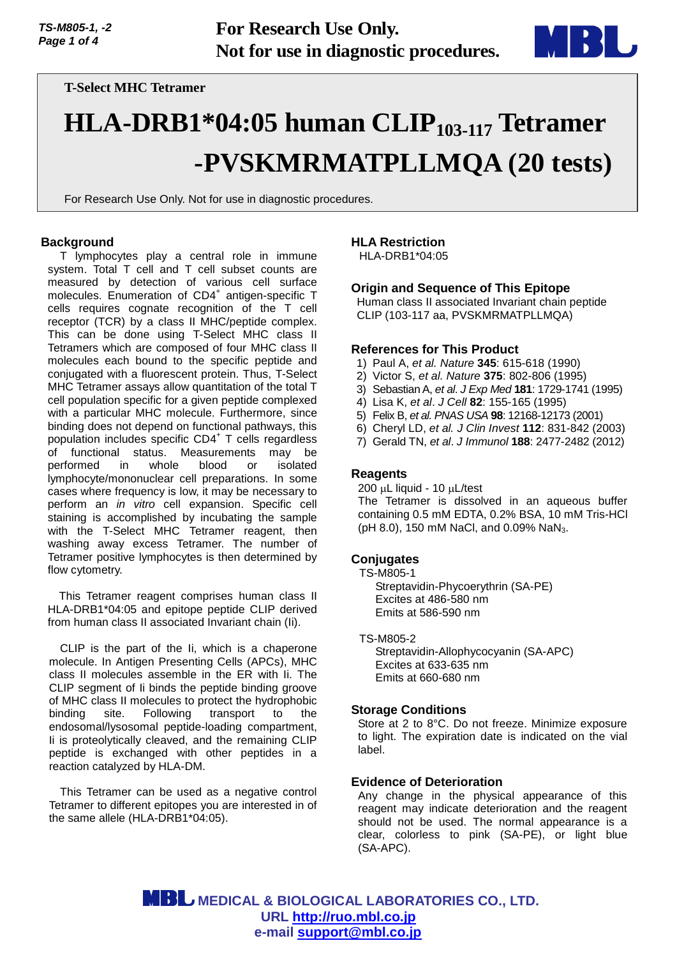

# **T-Select MHC Tetramer**

# **HLA-DRB1\*04:05 human CLIP103-117 Tetramer -PVSKMRMATPLLMQA (20 tests)**

For Research Use Only. Not for use in diagnostic procedures.

#### **Background**

T lymphocytes play a central role in immune system. Total T cell and T cell subset counts are measured by detection of various cell surface molecules. Enumeration of CD4<sup>+</sup> antigen-specific T cells requires cognate recognition of the T cell receptor (TCR) by a class II MHC/peptide complex. This can be done using T-Select MHC class II Tetramers which are composed of four MHC class II molecules each bound to the specific peptide and conjugated with a fluorescent protein. Thus, T-Select MHC Tetramer assays allow quantitation of the total T cell population specific for a given peptide complexed with a particular MHC molecule. Furthermore, since binding does not depend on functional pathways, this population includes specific CD4<sup>+</sup> T cells regardless of functional status. Measurements may be performed in whole blood or isolated lymphocyte/mononuclear cell preparations. In some cases where frequency is low, it may be necessary to perform an *in vitro* cell expansion. Specific cell staining is accomplished by incubating the sample with the T-Select MHC Tetramer reagent, then washing away excess Tetramer. The number of Tetramer positive lymphocytes is then determined by flow cytometry.

This Tetramer reagent comprises human class II HLA-DRB1\*04:05 and epitope peptide CLIP derived from human class II associated Invariant chain (Ii).

CLIP is the part of the Ii, which is a chaperone molecule. In Antigen Presenting Cells (APCs), MHC class II molecules assemble in the ER with Ii. The CLIP segment of Ii binds the peptide binding groove of MHC class II molecules to protect the hydrophobic binding site. Following transport to the endosomal/lysosomal peptide-loading compartment, Ii is proteolytically cleaved, and the remaining CLIP peptide is exchanged with other peptides in a reaction catalyzed by HLA-DM.

This Tetramer can be used as a negative control Tetramer to different epitopes you are interested in of the same allele (HLA-DRB1\*04:05).

#### **HLA Restriction**

HLA-DRB1\*04:05

#### **Origin and Sequence of This Epitope**

Human class II associated Invariant chain peptide CLIP (103-117 aa, PVSKMRMATPLLMQA)

#### **References for This Product**

- 1) Paul A, *et al. Nature* **345**: 615-618 (1990)
- 2) Victor S, *et al. Nature* **375**: 802-806 (1995)
- 3) Sebastian A, *et al*. *J Exp Med* **181**: 1729-1741 (1995)
- 4) Lisa K, *et al*. *J Cell* **82**: 155-165 (1995)
- 5) Felix B, *et al. PNAS USA* **98**: 12168-12173 (2001)
- 6) Cheryl LD, *et al. J Clin Invest* **112**: 831-842 (2003)
- 7) Gerald TN, *et al*. *J Immunol* **188**: 2477-2482 (2012)

#### **Reagents**

 $200 \mu L$  liquid - 10  $\mu L$ /test The Tetramer is dissolved in an aqueous buffer containing 0.5 mM EDTA, 0.2% BSA, 10 mM Tris-HCl (pH 8.0), 150 mM NaCl, and 0.09% NaN<sub>3</sub>.

#### **Conjugates**

TS-M805-1 Streptavidin-Phycoerythrin (SA-PE) Excites at 486-580 nm Emits at 586-590 nm

TS-M805-2 Streptavidin-Allophycocyanin (SA-APC) Excites at 633-635 nm Emits at 660-680 nm

#### **Storage Conditions**

Store at 2 to 8°C. Do not freeze. Minimize exposure to light. The expiration date is indicated on the vial label.

#### **Evidence of Deterioration**

Any change in the physical appearance of this reagent may indicate deterioration and the reagent should not be used. The normal appearance is a clear, colorless to pink (SA-PE), or light blue (SA-APC).

 **MEDICAL & BIOLOGICAL LABORATORIES CO., LTD. URL [http://ruo.mbl.co.jp](https://ruo.mbl.co.jp/) e-mail [support@mbl.co.jp](mailto:support@mbl.co.jp)**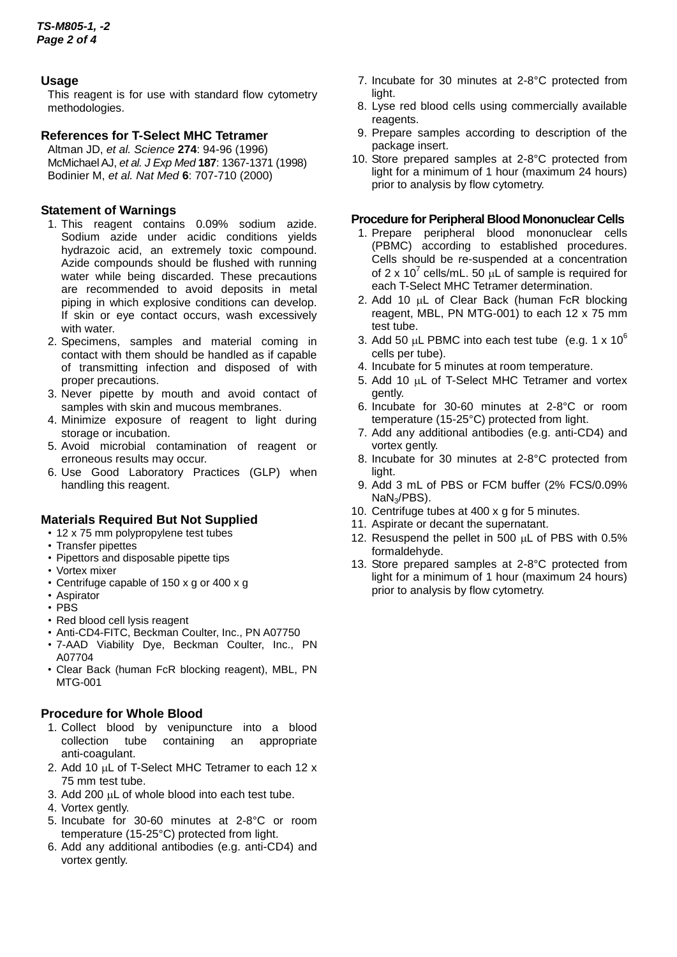# **Usage**

This reagent is for use with standard flow cytometry methodologies.

# **References for T-Select MHC Tetramer**

Altman JD, *et al. Science* **274**: 94-96 (1996) McMichael AJ, *et al. J Exp Med* **187**: 1367-1371 (1998) Bodinier M, *et al. Nat Med* **6**: 707-710 (2000)

# **Statement of Warnings**

- 1. This reagent contains 0.09% sodium azide. Sodium azide under acidic conditions yields hydrazoic acid, an extremely toxic compound. Azide compounds should be flushed with running water while being discarded. These precautions are recommended to avoid deposits in metal piping in which explosive conditions can develop. If skin or eye contact occurs, wash excessively with water.
- 2. Specimens, samples and material coming in contact with them should be handled as if capable of transmitting infection and disposed of with proper precautions.
- 3. Never pipette by mouth and avoid contact of samples with skin and mucous membranes.
- 4. Minimize exposure of reagent to light during storage or incubation.
- 5. Avoid microbial contamination of reagent or erroneous results may occur.
- 6. Use Good Laboratory Practices (GLP) when handling this reagent.

#### **Materials Required But Not Supplied**

- 12 x 75 mm polypropylene test tubes
- Transfer pipettes
- Pipettors and disposable pipette tips
- Vortex mixer
- Centrifuge capable of 150 x g or 400 x g
- Aspirator
- PBS
- Red blood cell lysis reagent
- Anti-CD4-FITC, Beckman Coulter, Inc., PN A07750
- 7-AAD Viability Dye, Beckman Coulter, Inc., PN A07704
- Clear Back (human FcR blocking reagent), MBL, PN MTG-001

#### **Procedure for Whole Blood**

- 1. Collect blood by venipuncture into a blood collection tube containing an appropriate collection tube containing an anti-coagulant.
- 2. Add 10 µL of T-Select MHC Tetramer to each 12 x 75 mm test tube.
- 3. Add 200 µL of whole blood into each test tube.
- 4. Vortex gently.
- 5. Incubate for 30-60 minutes at 2-8°C or room temperature (15-25°C) protected from light.
- 6. Add any additional antibodies (e.g. anti-CD4) and vortex gently.
- 7. Incubate for 30 minutes at 2-8°C protected from light.
- 8. Lyse red blood cells using commercially available reagents.
- 9. Prepare samples according to description of the package insert.
- 10. Store prepared samples at 2-8°C protected from light for a minimum of 1 hour (maximum 24 hours) prior to analysis by flow cytometry.

#### **Procedure for Peripheral Blood Mononuclear Cells**

- 1. Prepare peripheral blood mononuclear cells (PBMC) according to established procedures. Cells should be re-suspended at a concentration of 2 x 10<sup>7</sup> cells/mL. 50  $\mu$ L of sample is required for each T-Select MHC Tetramer determination.
- 2. Add 10  $\mu$ L of Clear Back (human FcR blocking reagent, MBL, PN MTG-001) to each 12 x 75 mm test tube.
- 3. Add 50  $\mu$ L PBMC into each test tube (e.g. 1 x 10<sup>6</sup>) cells per tube).
- 4. Incubate for 5 minutes at room temperature.
- 5. Add 10 µL of T-Select MHC Tetramer and vortex gently.
- 6. Incubate for 30-60 minutes at 2-8°C or room temperature (15-25°C) protected from light.
- 7. Add any additional antibodies (e.g. anti-CD4) and vortex gently.
- 8. Incubate for 30 minutes at 2-8°C protected from light.
- 9. Add 3 mL of PBS or FCM buffer (2% FCS/0.09% NaN3/PBS).
- 10. Centrifuge tubes at 400 x g for 5 minutes.
- 11. Aspirate or decant the supernatant.
- 12. Resuspend the pellet in 500  $\mu$ L of PBS with 0.5% formaldehyde.
- 13. Store prepared samples at 2-8°C protected from light for a minimum of 1 hour (maximum 24 hours) prior to analysis by flow cytometry.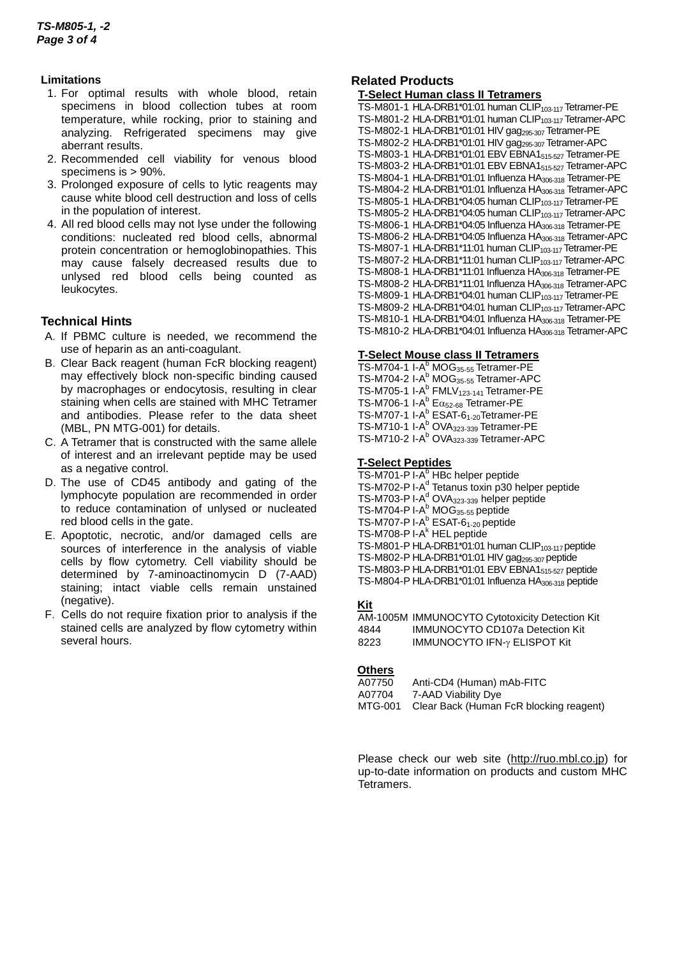#### **Limitations**

- 1. For optimal results with whole blood, retain specimens in blood collection tubes at room temperature, while rocking, prior to staining and analyzing. Refrigerated specimens may give aberrant results.
- 2. Recommended cell viability for venous blood specimens is > 90%.
- 3. Prolonged exposure of cells to lytic reagents may cause white blood cell destruction and loss of cells in the population of interest.
- 4. All red blood cells may not lyse under the following conditions: nucleated red blood cells, abnormal protein concentration or hemoglobinopathies. This may cause falsely decreased results due to unlysed red blood cells being counted as leukocytes.

# **Technical Hints**

- A.If PBMC culture is needed, we recommend the use of heparin as an anti-coagulant.
- B.Clear Back reagent (human FcR blocking reagent) may effectively block non-specific binding caused by macrophages or endocytosis, resulting in clear staining when cells are stained with MHC Tetramer and antibodies. Please refer to the data sheet (MBL, PN MTG-001) for details.
- C.A Tetramer that is constructed with the same allele of interest and an irrelevant peptide may be used as a negative control.
- D.The use of CD45 antibody and gating of the lymphocyte population are recommended in order to reduce contamination of unlysed or nucleated red blood cells in the gate.
- E.Apoptotic, necrotic, and/or damaged cells are sources of interference in the analysis of viable cells by flow cytometry. Cell viability should be determined by 7-aminoactinomycin D (7-AAD) staining; intact viable cells remain unstained (negative).
- F. Cells do not require fixation prior to analysis if the stained cells are analyzed by flow cytometry within several hours.

# **Related Products**

#### **T-Select Human class II Tetramers**

TS-M801-1 HLA-DRB1\*01:01 human CLIP<sub>103-117</sub> Tetramer-PE TS-M801-2 HLA-DRB1\*01:01 human CLIP<sub>103-117</sub> Tetramer-APC TS-M802-1 HLA-DRB1\*01:01 HIV gag<sub>295-307</sub> Tetramer-PE TS-M802-2 HLA-DRB1\*01:01 HIV gag295-307 Tetramer-APC TS-M803-1 HLA-DRB1\*01:01 EBV EBNA1515-527 Tetramer-PE TS-M803-2 HLA-DRB1\*01:01 EBV EBNA1515-527 Tetramer-APC TS-M804-1 HLA-DRB1\*01:01 Influenza HA306-318 Tetramer-PE TS-M804-2 HLA-DRB1\*01:01 Influenza HA<sub>306-318</sub> Tetramer-APC TS-M805-1 HLA-DRB1\*04:05 human CLIP<sub>103-117</sub> Tetramer-PE TS-M805-2 HLA-DRB1\*04:05 human CLIP<sub>103-117</sub> Tetramer-APC TS-M806-1 HLA-DRB1\*04:05 Influenza HA306-318 Tetramer-PE TS-M806-2 HLA-DRB1\*04:05 Influenza HA306-318 Tetramer-APC TS-M807-1 HLA-DRB1\*11:01 human CLIP<sub>103-117</sub> Tetramer-PE TS-M807-2 HLA-DRB1\*11:01 human CLIP<sub>103-117</sub> Tetramer-APC TS-M808-1 HLA-DRB1\*11:01 Influenza HA306-318 Tetramer-PE TS-M808-2 HLA-DRB1\*11:01 Influenza HA306-318 Tetramer-APC TS-M809-1 HLA-DRB1\*04:01 human CLIP<sub>103-117</sub> Tetramer-PE TS-M809-2 HLA-DRB1\*04:01 human CLIP<sub>103-117</sub> Tetramer-APC TS-M810-1 HLA-DRB1\*04:01 Influenza HA306-318 Tetramer-PE TS-M810-2 HLA-DRB1\*04:01 Influenza HA306-318 Tetramer-APC

## **T-Select Mouse class II Tetramers**

TS-M704-1 I-A<sup>b</sup> MOG<sub>35-55</sub> Tetramer-PE TS-M704-2 I-A<sup>b</sup> MOG<sub>35-55</sub> Tetramer-APC TS-M705-1 I-A<sup>b</sup> FMLV<sub>123-141</sub> Tetramer-PE TS-M706-1 I-A $^{\text{b}}$  E $\alpha_{52\text{-}68}$  Tetramer-PE TS-M707-1 I-A<sup>b</sup> ESAT-6<sub>1-20</sub>Tetramer-PE TS-M710-1 I-A<sup>b</sup> OVA<sub>323-339</sub> Tetramer-PE TS-M710-2 I-A<sup>b</sup> OVA<sub>323-339</sub> Tetramer-APC

#### **T-Select Peptides**

TS-M701-P I-A<sup>b</sup> HBc helper peptide TS-M702-P I-A<sup>d</sup> Tetanus toxin p30 helper peptide TS-M703-P I-A<sup>d</sup> OVA<sub>323-339</sub> helper peptide TS-M704-P I-A<sup>b</sup> MOG<sub>35-55</sub> peptide TS-M707-P I-A<sup>b</sup> ESAT-6<sub>1-20</sub> peptide TS-M708-P I-A<sup>k</sup> HEL peptide TS-M801-P HLA-DRB1\*01:01 human CLIP<sub>103-117</sub> peptide TS-M802-P HLA-DRB1\*01:01 HIV gag<sub>295-307</sub> peptide TS-M803-P HLA-DRB1\*01:01 EBV EBNA1515-527 peptide TS-M804-P HLA-DRB1\*01:01 Influenza HA306-318 peptide

# **Kit**

AM-1005M IMMUNOCYTO Cytotoxicity Detection Kit IMMUNOCYTO CD107a Detection Kit 8223 IMMUNOCYTO IFN-y ELISPOT Kit

#### **Others**

| A07750  | Anti-CD4 (Human) mAb-FITC               |
|---------|-----------------------------------------|
| A07704  | 7-AAD Viability Dye                     |
| MTG-001 | Clear Back (Human FcR blocking reagent) |

Please check our web site [\(http://ruo.mbl.co.jp\)](https://ruo.mbl.co.jp/) for up-to-date information on products and custom MHC Tetramers.